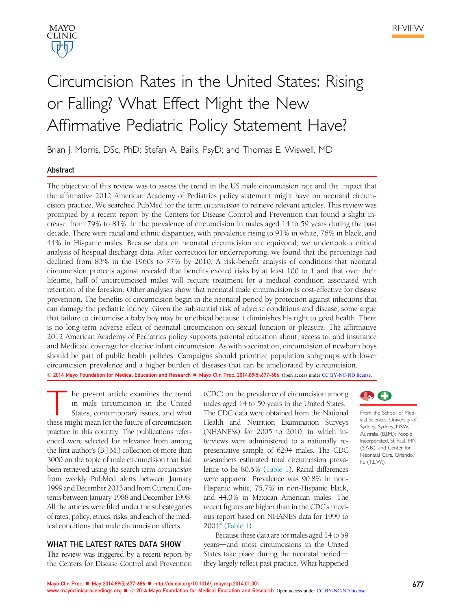



# Circumcision Rates in the United States: Rising or Falling? What Effect Might the New Affirmative Pediatric Policy Statement Have?

Brian J. Morris, DSc, PhD; Stefan A. Bailis, PsyD; and Thomas E. Wiswell, MD

# Abstract

The objective of this review was to assess the trend in the US male circumcision rate and the impact that the affirmative 2012 American Academy of Pediatrics policy statement might have on neonatal circumcision practice. We searched PubMed for the term circumcision to retrieve relevant articles. This review was prompted by a recent report by the Centers for Disease Control and Prevention that found a slight increase, from 79% to 81%, in the prevalence of circumcision in males aged 14 to 59 years during the past decade. There were racial and ethnic disparities, with prevalence rising to 91% in white, 76% in black, and 44% in Hispanic males. Because data on neonatal circumcision are equivocal, we undertook a critical analysis of hospital discharge data. After correction for underreporting, we found that the percentage had declined from 83% in the 1960s to 77% by 2010. A risk-benefit analysis of conditions that neonatal circumcision protects against revealed that benefits exceed risks by at least 100 to 1 and that over their lifetime, half of uncircumcised males will require treatment for a medical condition associated with retention of the foreskin. Other analyses show that neonatal male circumcision is cost-effective for disease prevention. The benefits of circumcision begin in the neonatal period by protection against infections that can damage the pediatric kidney. Given the substantial risk of adverse conditions and disease, some argue that failure to circumcise a baby boy may be unethical because it diminishes his right to good health. There is no long-term adverse effect of neonatal circumcision on sexual function or pleasure. The affirmative 2012 American Academy of Pediatrics policy supports parental education about, access to, and insurance and Medicaid coverage for elective infant circumcision. As with vaccination, circumcision of newborn boys should be part of public health policies. Campaigns should prioritize population subgroups with lower circumcision prevalence and a higher burden of diseases that can be ameliorated by circumcision. © 2014 Mayo Foundation for Medical Education and Research ■ Mayo Clin Proc. 2014;89(5):677-686 Open access under CC BY-NC-ND license.

The present article examines the trend<br>in male circumcision in the United<br>States, contemporary issues, and what<br>these might mean for the future of circumcision he present article examines the trend in male circumcision in the United States, contemporary issues, and what practice in this country. The publications referenced were selected for relevance from among the first author's (B.J.M.) collection of more than 3000 on the topic of male circumcision that had been retrieved using the search term circumcision from weekly PubMed alerts between January 1999 and December 2013 and from Current Contents between January 1988 and December 1998. All the articles were filed under the subcategories of rates, policy, ethics, risks, and each of the medical conditions that male circumcision affects.

## WHAT THE LATEST RATES DATA SHOW

The review was triggered by a recent report by the Centers for Disease Control and Prevention (CDC) on the prevalence of circumcision among males aged 14 to 59 years in the United States. The CDC data were obtained from the National Health and Nutrition Examination Surveys (NHANESs) for 2005 to 2010, in which interviews were administered to a nationally representative sample of 6294 males. The CDC researchers estimated total circumcision prevalence to be 80.5% (Table 1). Racial differences were apparent: Prevalence was 90.8% in non-Hispanic white, 75.7% in non-Hispanic black, and 44.0% in Mexican American males. The recent figures are higher than in the CDC's previous report based on NHANES data for 1999 to  $2004^2$  (Table 1).

Because these data are for males aged 14 to 59 years—and most circumcisions in the United States take place during the neonatal periodthey largely reflect past practice. What happened



From the School of Medical Sciences, University of Sydney, Sydney, NSW, Australia (B.J.M.); People Incorporated, St Paul, MN (S.A.B.); and Center for Neonatal Care, Orlando, FL (T.E.W.).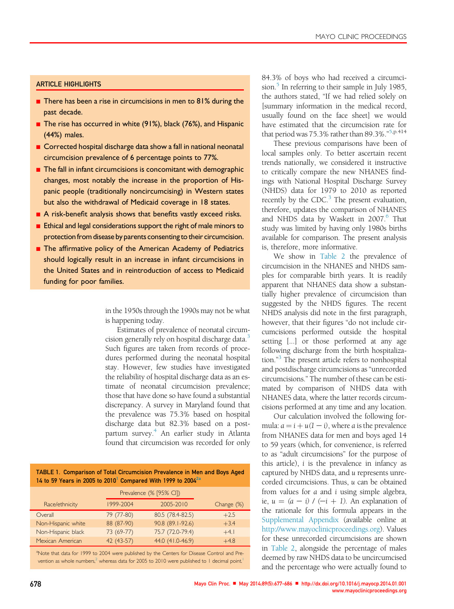# ARTICLE HIGHLIGHTS

- $\blacksquare$  There has been a rise in circumcisions in men to 81% during the past decade.
- The rise has occurred in white (91%), black (76%), and Hispanic (44%) males.
- Corrected hospital discharge data show a fall in national neonatal circumcision prevalence of 6 percentage points to 77%.
- $\blacksquare$  The fall in infant circumcisions is concomitant with demographic changes, most notably the increase in the proportion of Hispanic people (traditionally noncircumcising) in Western states but also the withdrawal of Medicaid coverage in 18 states.
- $\blacksquare$  A risk-benefit analysis shows that benefits vastly exceed risks.
- Ethical and legal considerations support the right of male minors to protection from disease by parents consenting to their circumcision.
- **n** The affirmative policy of the American Academy of Pediatrics should logically result in an increase in infant circumcisions in the United States and in reintroduction of access to Medicaid funding for poor families.

in the 1950s through the 1990s may not be what is happening today.

Estimates of prevalence of neonatal circumcision generally rely on hospital discharge data.<sup>3</sup> Such figures are taken from records of procedures performed during the neonatal hospital stay. However, few studies have investigated the reliability of hospital discharge data as an estimate of neonatal circumcision prevalence; those that have done so have found a substantial discrepancy. A survey in Maryland found that the prevalence was 75.3% based on hospital discharge data but 82.3% based on a postpartum survey.<sup>4</sup> An earlier study in Atlanta found that circumcision was recorded for only

TABLE 1. Comparison of Total Circumcision Prevalence in Men and Boys Aged 14 to 59 Years in 2005 to 2010<sup>1</sup> Compared With 1999 to 2004 $^{2a}$ 

|                    |             | Prevalence (% [95% CI]) |            |
|--------------------|-------------|-------------------------|------------|
| Race/ethnicity     | 1999-2004   | 2005-2010               | Change (%) |
| Overall            | 79 (77-80)  | 80.5 (78.4-82.5)        | $+2.5$     |
| Non-Hispanic white | 88 (87-90)  | 90.8 (89.1-92.6)        | $+3.4$     |
| Non-Hispanic black | $73(69-77)$ | 75.7 (72.0-79.4)        | $+4.1$     |
| Mexican American   | 42 (43-57)  | 44.0 (41.0-46.9)        | $+4.8$     |

<sup>a</sup>Note that data for 1999 to 2004 were published by the Centers for Disease Control and Prevention as whole numbers,<sup>2</sup> whereas data for 2005 to 2010 were published to 1 decimal point.<sup>1</sup>

84.3% of boys who had received a circumcision.<sup>5</sup> In referring to their sample in July 1985, the authors stated, "If we had relied solely on [summary information in the medical record, usually found on the face sheet] we would have estimated that the circumcision rate for that period was 75.3% rather than 89.3%."<sup>5,p.414</sup>

These previous comparisons have been of local samples only. To better ascertain recent trends nationally, we considered it instructive to critically compare the new NHANES findings with National Hospital Discharge Survey (NHDS) data for 1979 to 2010 as reported recently by the CDC.<sup>3</sup> The present evaluation, therefore, updates the comparison of NHANES and NHDS data by Waskett in 2007.<sup>6</sup> That study was limited by having only 1980s births available for comparison. The present analysis is, therefore, more informative.

We show in Table 2 the prevalence of circumcision in the NHANES and NHDS samples for comparable birth years. It is readily apparent that NHANES data show a substantially higher prevalence of circumcision than suggested by the NHDS figures. The recent NHDS analysis did note in the first paragraph, however, that their figures "do not include circumcisions performed outside the hospital setting [...] or those performed at any age following discharge from the birth hospitalization." 3 The present article refers to nonhospital and postdischarge circumcisions as "unrecorded circumcisions." The number of these can be estimated by comparison of NHDS data with NHANES data, where the latter records circumcisions performed at any time and any location.

Our calculation involved the following formula:  $a = i + u(1 - i)$ , where a is the prevalence from NHANES data for men and boys aged 14 to 59 years (which, for convenience, is referred to as "adult circumcisions" for the purpose of this article), i is the prevalence in infancy as captured by NHDS data, and u represents unrecorded circumcisions. Thus, u can be obtained from values for a and i using simple algebra, ie,  $u = (a - i) / (-i + 1)$ . An explanation of the rationale for this formula appears in the Supplemental Appendix (available online at http://www.mayoclinicproceedings.org). Values for these unrecorded circumcisions are shown in Table 2, alongside the percentage of males deemed by raw NHDS data to be uncircumcised and the percentage who were actually found to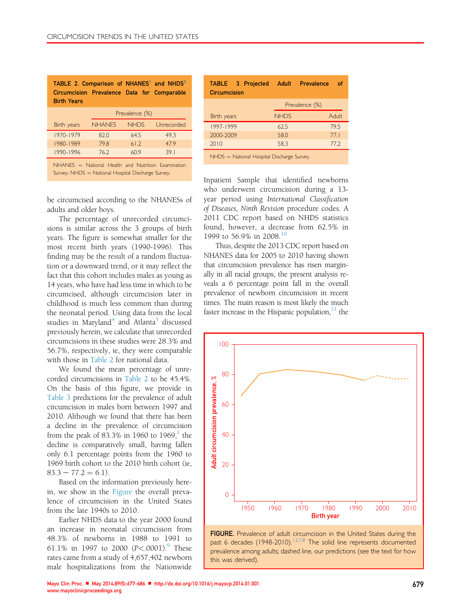| TABLE 2. Comparison of NHANES <sup>1</sup> and NHDS <sup>3</sup><br>Circumcision Prevalence Data for Comparable<br><b>Birth Years</b> |                |  |            |  |
|---------------------------------------------------------------------------------------------------------------------------------------|----------------|--|------------|--|
|                                                                                                                                       | Prevalence (%) |  |            |  |
| Birth years                                                                                                                           | NHANES NHDS    |  | Unrecorded |  |

|           | NHANES = National Health and Nutrition Examination |      |                 |
|-----------|----------------------------------------------------|------|-----------------|
| 1990-1996 | 762                                                | 609  | 39 <sub>1</sub> |
| 1980-1989 | 798                                                | 612  | 479             |
| 1970-1979 | 820                                                | 64.5 | 493             |

Survey; NHDS = National Hospital Discharge Survey.

be circumcised according to the NHANESs of adults and older boys.

The percentage of unrecorded circumcisions is similar across the 3 groups of birth years. The figure is somewhat smaller for the most recent birth years (1990-1996). This finding may be the result of a random fluctuation or a downward trend, or it may reflect the fact that this cohort includes males as young as 14 years, who have had less time in which to be circumcised, although circumcision later in childhood is much less common than during the neonatal period. Using data from the local studies in Maryland<sup>4</sup> and Atlanta<sup>5</sup> discussed previously herein, we calculate that unrecorded circumcisions in these studies were 28.3% and 56.7%, respectively, ie, they were comparable with those in Table 2 for national data.

We found the mean percentage of unrecorded circumcisions in Table 2 to be 45.4%. On the basis of this figure, we provide in Table 3 predictions for the prevalence of adult circumcision in males born between 1997 and 2010. Although we found that there has been a decline in the prevalence of circumcision from the peak of  $83.3\%$  in 1960 to 1969,<sup>1</sup> the decline is comparatively small, having fallen only 6.1 percentage points from the 1960 to 1969 birth cohort to the 2010 birth cohort (ie,  $83.3 - 77.2 = 6.1$ 

Based on the information previously herein, we show in the Figure the overall prevalence of circumcision in the United States from the late 1940s to 2010.

Earlier NHDS data to the year 2000 found an increase in neonatal circumcision from 48.3% of newborns in 1988 to 1991 to 61.1% in 1997 to 2000  $(P<.0001)$ . These rates came from a study of 4,657,402 newborn male hospitalizations from the Nationwide

| TABLE 3. Projected<br><b>Circumcision</b>  | <b>Adult</b> | Prevalence     | of           |  |
|--------------------------------------------|--------------|----------------|--------------|--|
|                                            |              | Prevalence (%) |              |  |
| Birth years                                | <b>NHDS</b>  |                | <b>Adult</b> |  |
| 1997-1999                                  | 62.5         |                | 79.5         |  |
| 2000-2009                                  | 58.0         |                | 77.1         |  |
| 2010                                       | 58.3         |                | 77.2         |  |
| NHDS = National Hospital Discharge Survey. |              |                |              |  |

Inpatient Sample that identified newborns who underwent circumcision during a 13 year period using International Classification of Diseases, Ninth Revision procedure codes. A 2011 CDC report based on NHDS statistics found, however, a decrease from 62.5% in 1999 to 56.9% in 2008.<sup>10</sup>

Thus, despite the 2013 CDC report based on NHANES data for 2005 to 2010 having shown that circumcision prevalence has risen marginally in all racial groups, the present analysis reveals a 6 percentage point fall in the overall prevalence of newborn circumcision in recent times. The main reason is most likely the much faster increase in the Hispanic population, $11$  the



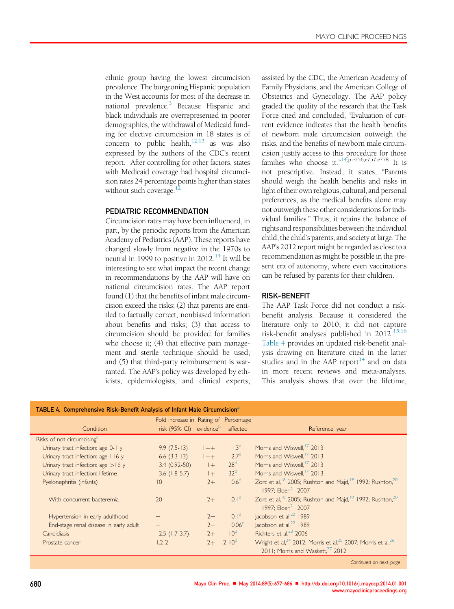ethnic group having the lowest circumcision prevalence. The burgeoning Hispanic population in the West accounts for most of the decrease in national prevalence.<sup>3</sup> Because Hispanic and black individuals are overrepresented in poorer demographics, the withdrawal of Medicaid funding for elective circumcision in 18 states is of concern to public health, $12,13$  as was also expressed by the authors of the CDC's recent report.<sup>1</sup> After controlling for other factors, states with Medicaid coverage had hospital circumcision rates 24 percentage points higher than states without such coverage.

## PEDIATRIC RECOMMENDATION

Circumcision rates may have been influenced, in part, by the periodic reports from the American Academy of Pediatrics (AAP). These reports have changed slowly from negative in the 1970s to neutral in 1999 to positive in  $2012.<sup>14</sup>$  It will be interesting to see what impact the recent change in recommendations by the AAP will have on national circumcision rates. The AAP report found (1) that the benefits of infant male circumcision exceed the risks; (2) that parents are entitled to factually correct, nonbiased information about benefits and risks; (3) that access to circumcision should be provided for families who choose it; (4) that effective pain management and sterile technique should be used; and (5) that third-party reimbursement is warranted. The AAP's policy was developed by ethicists, epidemiologists, and clinical experts, assisted by the CDC, the American Academy of Family Physicians, and the American College of Obstetrics and Gynecology. The AAP policy graded the quality of the research that the Task Force cited and concluded, "Evaluation of current evidence indicates that the health benefits of newborn male circumcision outweigh the risks, and the benefits of newborn male circumcision justify access to this procedure for those families who choose it."<sup>14,p.e756,e757,e778</sup> It is not prescriptive. Instead, it states, "Parents should weigh the health benefits and risks in light oftheir own religious, cultural, and personal preferences, as the medical benefits alone may not outweigh these other considerations for individual families." Thus, it retains the balance of rights and responsibilities between the individual child, the child's parents, and society at large. The AAP's 2012 report might be regarded as close to a recommendation as might be possible in the present era of autonomy, where even vaccinations can be refused by parents for their children.

## RISK-BENEFIT

The AAP Task Force did not conduct a riskbenefit analysis. Because it considered the literature only to 2010, it did not capture risk-benefit analyses published in  $2012$ .<sup>15,16</sup> Table 4 provides an updated risk-benefit analysis drawing on literature cited in the latter studies and in the AAP report<sup>14</sup> and on data in more recent reviews and meta-analyses. This analysis shows that over the lifetime,

| TABLE 4. Comprehensive Risk-Benefit Analysis of Infant Male Circumcision <sup>a</sup> |                                              |        |                   |                                                                                                                                 |  |
|---------------------------------------------------------------------------------------|----------------------------------------------|--------|-------------------|---------------------------------------------------------------------------------------------------------------------------------|--|
| Fold increase in Rating of Percentage                                                 |                                              |        |                   |                                                                                                                                 |  |
| Condition                                                                             | risk (95% CI) evidence <sup>b</sup> affected |        |                   | Reference, year                                                                                                                 |  |
| Risks of not circumcising <sup>c</sup>                                                |                                              |        |                   |                                                                                                                                 |  |
| Urinary tract infection: age 0-1 y                                                    | $9.9(7.5-13)$                                | $+ +$  | 1.3 <sup>d</sup>  | Morris and Wiswell, <sup>1</sup> /2013                                                                                          |  |
| Urinary tract infection: age I-16 y                                                   | $6.6$ $(3.3-13)$                             | $ ++ $ | 2.7 <sup>d</sup>  | Morris and Wiswell, <sup>1</sup> /2013                                                                                          |  |
| Urinary tract infection: age $>16$ y                                                  | $3.4(0.92-50)$                               | $ + $  | 28 <sup>d</sup>   | Morris and Wiswell, <sup>17</sup> 2013                                                                                          |  |
| Urinary tract infection: lifetime                                                     | $3.6$ (1.8-5.7)                              | $ + $  | 32 <sup>d</sup>   | Morris and Wiswell. <sup>17</sup> 2013                                                                                          |  |
| Pyelonephritis (infants)                                                              | $ 0\rangle$                                  | $2+$   | 0.6 <sup>d</sup>  | Zorc et al, <sup>18</sup> 2005; Rushton and Majd, <sup>19</sup> 1992; Rushton, <sup>20</sup><br>1997: Elder. <sup>21</sup> 2007 |  |
| With concurrent bacteremia                                                            | 20                                           | $2+$   | 0.1 <sup>d</sup>  | Zorc et al, <sup>18</sup> 2005; Rushton and Majd, <sup>19</sup> 1992; Rushton, <sup>20</sup><br>1997: Elder. <sup>21</sup> 2007 |  |
| Hypertension in early adulthood                                                       |                                              | $2 -$  | 0.1 <sup>d</sup>  | $ acobson et al.22$ 1989                                                                                                        |  |
| End-stage renal disease in early adult                                                |                                              | $2-$   | 0.06 <sup>d</sup> | lacobson et al, $^{22}$ 1989                                                                                                    |  |
| Candidiasis                                                                           | $2.5$ (1.7-3.7)                              | $2+$   | 10 <sup>d</sup>   | Richters et al. <sup>23</sup> 2006                                                                                              |  |
| Prostate cancer                                                                       | $1.2 - 2$                                    | $2+$   | $2 - 10^{d}$      | Wright et al, <sup>24</sup> 2012; Morris et al, <sup>25</sup> 2007; Morris et al, <sup>26</sup>                                 |  |
|                                                                                       |                                              |        |                   | 2011; Morris and Waskett, <sup>27</sup> 2012                                                                                    |  |
|                                                                                       |                                              |        |                   |                                                                                                                                 |  |

Continued on next page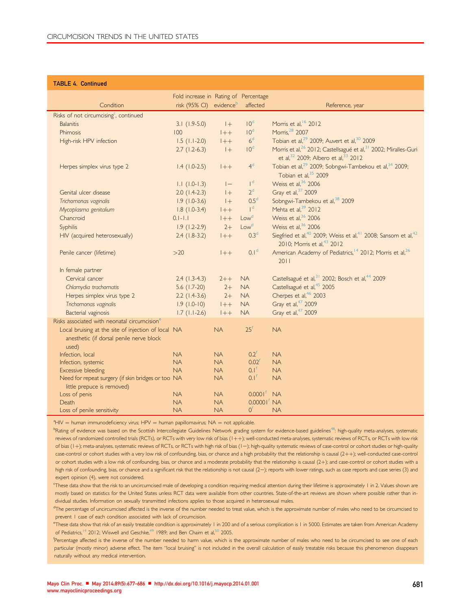### TABLE 4. Continued

|                                                          | Fold increase in Rating of Percentage |                        |                         |                                                                                                                   |
|----------------------------------------------------------|---------------------------------------|------------------------|-------------------------|-------------------------------------------------------------------------------------------------------------------|
| Condition                                                | risk (95% CI) evidence <sup>b</sup>   |                        | affected                | Reference, year                                                                                                   |
| Risks of not circumcising <sup>c</sup> , continued       |                                       |                        |                         |                                                                                                                   |
| <b>Balanitis</b>                                         | $3.1(1.9-5.0)$                        | $ + $                  | 10 <sup>d</sup>         | Morris et al, <sup>16</sup> 2012                                                                                  |
| <b>Phimosis</b>                                          | 100                                   | $1++$                  | 10 <sup>d</sup>         | Morris, <sup>28</sup> 2007                                                                                        |
| High-risk HPV infection                                  | $1.5$ (1.1-2.0)                       | $ ++$                  | 6 <sup>d</sup>          | Tobian et al, <sup>29</sup> 2009; Auvert et al, <sup>30</sup> 2009                                                |
|                                                          | $2.7(1.2-6.3)$                        | $ +$                   | 10 <sup>d</sup>         | Morris et al, <sup>26</sup> 2012; Castellsagué et al, <sup>31</sup> 2002; Miralles-Guri                           |
|                                                          |                                       |                        |                         | et al, <sup>32</sup> 2009; Albero et al, <sup>33</sup> 2012                                                       |
| Herpes simplex virus type 2                              | $1.4$ (1.0-2.5)                       | $ ++$                  | 4 <sup>d</sup>          | Tobian et al, <sup>29</sup> 2009; Sobngwi-Tambekou et al, <sup>34</sup> 2009;<br>Tobian et al, <sup>35</sup> 2009 |
|                                                          | $1.1$ (1.0-1.3)                       | $\vert - \vert$        | I <sup>d</sup>          | Weiss et al, <sup>36</sup> 2006                                                                                   |
| Genital ulcer disease                                    | $2.0(1.4-2.3)$                        | $ + $                  | 2 <sup>d</sup>          | Gray et al, 37 2009                                                                                               |
| Trichomonas vaginalis                                    | $1.9(1.0-3.6)$                        | $ +$                   | 0.5 <sup>d</sup>        | Sobngwi-Tambekou et al, <sup>38</sup> 2009                                                                        |
| Mycoplasma genitalium                                    | $1.8(1.0-3.4)$                        | $1++$                  | I <sub>q</sub>          | Mehta et al, <sup>39</sup> 2012                                                                                   |
| Chancroid                                                | $0.1 - 1.1$                           | $ ++$                  | Low <sup>d</sup>        | Weiss et al, <sup>36</sup> 2006                                                                                   |
| Syphilis                                                 | $1.9(1.2-2.9)$                        | $2+$                   | Low <sup>d</sup>        | Weiss et al, <sup>36</sup> 2006                                                                                   |
| HIV (acquired heterosexually)                            | $2.4(1.8-3.2)$                        | $ ++$                  | 0.3 <sup>d</sup>        | Siegfried et al, <sup>40</sup> 2009; Weiss et al, <sup>41</sup> 2008; Sansom et al, <sup>42</sup>                 |
|                                                          |                                       |                        |                         | 2010; Morris et al, <sup>43</sup> 2012                                                                            |
| Penile cancer (lifetime)                                 | >20                                   | $ ++$                  | 0.1 <sup>d</sup>        | American Academy of Pediatrics, <sup>14</sup> 2012; Morris et al, <sup>26</sup>                                   |
|                                                          |                                       |                        |                         | 2011                                                                                                              |
| In female partner                                        |                                       |                        |                         |                                                                                                                   |
| Cervical cancer                                          | $2.4$ (1.3-4.3)                       | $2 + +$                | <b>NA</b>               | Castellsagué et al, <sup>31</sup> 2002; Bosch et al, <sup>44</sup> 2009                                           |
| Chlamydia trachomatis                                    | $5.6$ (1.7-20)                        | $2+$                   | <b>NA</b>               | Castellsagué et al, <sup>45</sup> 2005                                                                            |
| Herpes simplex virus type 2                              | $2.2$ (1.4-3.6)                       | $2+$                   | <b>NA</b>               | Cherpes et al, <sup>46</sup> 2003                                                                                 |
| Trichomonas vaginalis                                    | $1.9(1.0-10)$                         | $ ++$                  | <b>NA</b>               | Gray et al, <sup>47</sup> 2009                                                                                    |
| Bacterial vaginosis                                      | $1.7$ ( $1.1-2.6$ )                   | $ ++ $                 | <b>NA</b>               | Gray et al, <sup>47</sup> 2009                                                                                    |
| Risks associated with neonatal circumcision <sup>e</sup> |                                       |                        |                         |                                                                                                                   |
| Local bruising at the site of injection of local NA      |                                       | <b>NA</b>              | 25 <sup>f</sup>         | <b>NA</b>                                                                                                         |
| anesthetic (if dorsal penile nerve block                 |                                       |                        |                         |                                                                                                                   |
| used)                                                    |                                       |                        |                         |                                                                                                                   |
| Infection, local                                         | <b>NA</b>                             | <b>NA</b>              | 0.2 <sup>f</sup>        | <b>NA</b>                                                                                                         |
| Infection, systemic                                      | NA                                    | NA                     | 0.02 <sup>f</sup>       | <b>NA</b>                                                                                                         |
| <b>Excessive bleeding</b>                                | NA                                    | <b>NA</b>              | 0.1 <sup>f</sup>        | <b>NA</b>                                                                                                         |
| Need for repeat surgery (if skin bridges or too NA       |                                       | <b>NA</b>              | 0.1 <sup>f</sup>        | <b>NA</b>                                                                                                         |
| little prepuce is removed)                               |                                       |                        | 0.0001 <sup>f</sup> NA  |                                                                                                                   |
| Loss of penis                                            | <b>NA</b><br><b>NA</b>                | <b>NA</b><br><b>NA</b> | 0.00001 <sup>f</sup> NA |                                                                                                                   |
| Death<br>Loss of penile sensitivity                      | <b>NA</b>                             | <b>NA</b>              | O <sup>t</sup>          | <b>NA</b>                                                                                                         |
|                                                          |                                       |                        |                         |                                                                                                                   |

 $A^a$ HIV = human immunodeficiency virus; HPV = human papillomavirus; NA = not applicable.

<sup>b</sup>Rating of evidence was based on the Scottish Intercollegiate Guidelines Network grading system for evidence-based guidelines<sup>48</sup>: high-quality meta-analyses, systematic reviews of randomized controlled trials (RCTs), or RCTs with very low risk of bias (1++); well-conducted meta-analyses, systematic reviews of RCTs, or RCTs with low risk of bias (1+); meta-analyses, systematic reviews of RCTs, or RCTs with high risk of bias (1-); high-quality systematic reviews of case-control or cohort studies or high-quality case-control or cohort studies with a very low risk of confounding, bias, or chance and a high probability that the relationship is causal (2++); well-conducted case-control or cohort studies with a low risk of confounding, bias, or chance and a moderate probability that the relationship is causal (2+); and case-control or cohort studies with a high risk of confounding, bias, or chance and a significant risk that the relationship is not causal (2-); reports with lower ratings, such as case reports and case series (3) and expert opinion (4), were not considered.

These data show that the risk to an uncircumcised male of developing a condition requiring medical attention during their lifetime is approximately 1 in 2. Values shown are mostly based on statistics for the United States unless RCT data were available from other countries. State-of-the-art reviews are shown where possible rather than individual studies. Information on sexually transmitted infections applies to those acquired in heterosexual males.

<sup>d</sup>The percentage of uncircumcised affected is the inverse of the number needed to treat value, which is the approximate number of males who need to be circumcised to prevent 1 case of each condition associated with lack of circumcision.

e These data show that risk of an easily treatable condition is approximately 1 in 200 and of a serious complication is 1 in 5000. Estimates are taken from American Academy of Pediatrics,<sup>14</sup> 2012; Wiswell and Geschke,<sup>49</sup> 1989; and Ben Chaim et al,<sup>50</sup> 2005.

.<br><sup>f</sup>Percentage affected is the inverse of the number needed to harm value, which is the approximate number of males who need to be circumcised to see one of each particular (mostly minor) adverse effect. The item "local bruising" is not included in the overall calculation of easily treatable risks because this phenomenon disappears naturally without any medical intervention.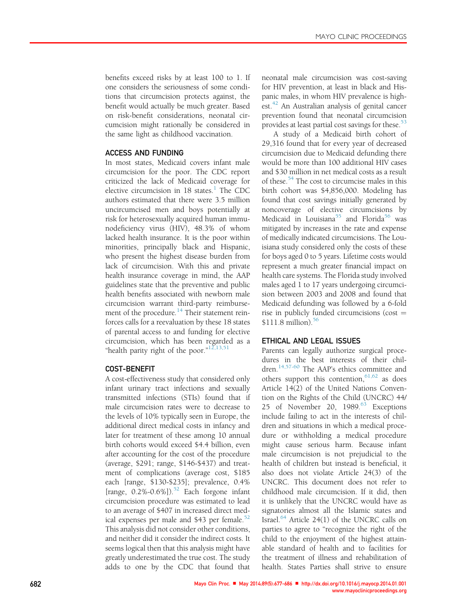benefits exceed risks by at least 100 to 1. If one considers the seriousness of some conditions that circumcision protects against, the benefit would actually be much greater. Based on risk-benefit considerations, neonatal circumcision might rationally be considered in the same light as childhood vaccination.

# ACCESS AND FUNDING

In most states, Medicaid covers infant male circumcision for the poor. The CDC report criticized the lack of Medicaid coverage for elective circumcision in 18 states.<sup>1</sup> The CDC authors estimated that there were 3.5 million uncircumcised men and boys potentially at risk for heterosexually acquired human immunodeficiency virus (HIV), 48.3% of whom lacked health insurance. It is the poor within minorities, principally black and Hispanic, who present the highest disease burden from lack of circumcision. With this and private health insurance coverage in mind, the AAP guidelines state that the preventive and public health benefits associated with newborn male circumcision warrant third-party reimbursement of the procedure.<sup>14</sup> Their statement reinforces calls for a reevaluation by these 18 states of parental access to and funding for elective circumcision, which has been regarded as a "health parity right of the poor." $^{12,13,51}$ 

# COST-BENEFIT

A cost-effectiveness study that considered only infant urinary tract infections and sexually transmitted infections (STIs) found that if male circumcision rates were to decrease to the levels of 10% typically seen in Europe, the additional direct medical costs in infancy and later for treatment of these among 10 annual birth cohorts would exceed \$4.4 billion, even after accounting for the cost of the procedure (average, \$291; range, \$146-\$437) and treatment of complications (average cost, \$185 each [range, \$130-\$235]; prevalence, 0.4% [range,  $0.2\%$ -0.6%]).<sup>52</sup> Each forgone infant circumcision procedure was estimated to lead to an average of \$407 in increased direct medical expenses per male and  $$43$  per female.<sup>52</sup> This analysis did not consider other conditions, and neither did it consider the indirect costs. It seems logical then that this analysis might have greatly underestimated the true cost. The study adds to one by the CDC that found that

neonatal male circumcision was cost-saving for HIV prevention, at least in black and Hispanic males, in whom HIV prevalence is highest.<sup>42</sup> An Australian analysis of genital cancer prevention found that neonatal circumcision provides at least partial cost savings for these.<sup>53</sup>

A study of a Medicaid birth cohort of 29,316 found that for every year of decreased circumcision due to Medicaid defunding there would be more than 100 additional HIV cases and \$30 million in net medical costs as a result of these.<sup>54</sup> The cost to circumcise males in this birth cohort was \$4,856,000. Modeling has found that cost savings initially generated by noncoverage of elective circumcisions by Medicaid in Louisiana<sup>55</sup> and Florida<sup>56</sup> was mitigated by increases in the rate and expense of medically indicated circumcisions. The Louisiana study considered only the costs of these for boys aged 0 to 5 years. Lifetime costs would represent a much greater financial impact on health care systems. The Florida study involved males aged 1 to 17 years undergoing circumcision between 2003 and 2008 and found that Medicaid defunding was followed by a 6-fold rise in publicly funded circumcisions (cost  $=$ \$111.8 million). $56$ 

# ETHICAL AND LEGAL ISSUES

Parents can legally authorize surgical procedures in the best interests of their children.14,57-60 The AAP's ethics committee and others support this contention,  $61,62$  as does Article 14(2) of the United Nations Convention on the Rights of the Child (UNCRC) 44/ 25 of November 20, 1989. <sup>63</sup> Exceptions include failing to act in the interests of children and situations in which a medical procedure or withholding a medical procedure might cause serious harm. Because infant male circumcision is not prejudicial to the health of children but instead is beneficial, it also does not violate Article 24(3) of the UNCRC. This document does not refer to childhood male circumcision. If it did, then it is unlikely that the UNCRC would have as signatories almost all the Islamic states and Israel. $64$  Article 24(1) of the UNCRC calls on parties to agree to "recognize the right of the child to the enjoyment of the highest attainable standard of health and to facilities for the treatment of illness and rehabilitation of health. States Parties shall strive to ensure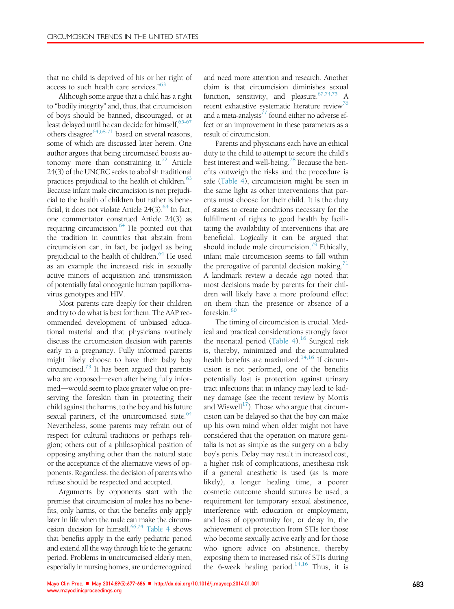that no child is deprived of his or her right of access to such health care services." 63

Although some argue that a child has a right to "bodily integrity" and, thus, that circumcision of boys should be banned, discouraged, or at least delayed until he can decide for himself,  $65-67$ others disagree<sup>64,68-71</sup> based on several reasons, some of which are discussed later herein. One author argues that being circumcised boosts autonomy more than constraining it. $72$  Article 24(3) of the UNCRC seeks to abolish traditional practices prejudicial to the health of children. 63 Because infant male circumcision is not prejudicial to the health of children but rather is beneficial, it does not violate Article  $24(3)$ .<sup>64</sup> In fact, one commentator construed Article 24(3) as requiring circumcision. $64$  He pointed out that the tradition in countries that abstain from circumcision can, in fact, be judged as being prejudicial to the health of children.<sup>64</sup> He used as an example the increased risk in sexually active minors of acquisition and transmission of potentially fatal oncogenic human papillomavirus genotypes and HIV.

Most parents care deeply for their children and try to do what is best for them. The AAP recommended development of unbiased educational material and that physicians routinely discuss the circumcision decision with parents early in a pregnancy. Fully informed parents might likely choose to have their baby boy circumcised. $73$  It has been argued that parents who are opposed—even after being fully informed—would seem to place greater value on preserving the foreskin than in protecting their child against the harms, to the boy and his future sexual partners, of the uncircumcised state.<sup>64</sup> Nevertheless, some parents may refrain out of respect for cultural traditions or perhaps religion; others out of a philosophical position of opposing anything other than the natural state or the acceptance of the alternative views of opponents. Regardless, the decision of parents who refuse should be respected and accepted.

Arguments by opponents start with the premise that circumcision of males has no benefits, only harms, or that the benefits only apply later in life when the male can make the circumcision decision for himself.<sup>66,74</sup> Table 4 shows that benefits apply in the early pediatric period and extend all the way through life to the geriatric period. Problems in uncircumcised elderly men, especially in nursing homes, are underrecognized

and need more attention and research. Another claim is that circumcision diminishes sexual function, sensitivity, and pleasure.<sup>67,74,75</sup> A recent exhaustive systematic literature review<sup>76</sup> and a meta-analysis $^{77}$  found either no adverse effect or an improvement in these parameters as a result of circumcision.

Parents and physicians each have an ethical duty to the child to attempt to secure the child's best interest and well-being.<sup>78</sup> Because the benefits outweigh the risks and the procedure is safe (Table 4), circumcision might be seen in the same light as other interventions that parents must choose for their child. It is the duty of states to create conditions necessary for the fulfillment of rights to good health by facilitating the availability of interventions that are beneficial. Logically it can be argued that should include male circumcision.<sup>79</sup> Ethically, infant male circumcision seems to fall within the prerogative of parental decision making.<sup>71</sup> A landmark review a decade ago noted that most decisions made by parents for their children will likely have a more profound effect on them than the presence or absence of a foreskin.<sup>80</sup>

The timing of circumcision is crucial. Medical and practical considerations strongly favor the neonatal period (Table 4).<sup>16</sup> Surgical risk is, thereby, minimized and the accumulated health benefits are maximized.<sup>14,16</sup> If circumcision is not performed, one of the benefits potentially lost is protection against urinary tract infections that in infancy may lead to kidney damage (see the recent review by Morris and Wiswell<sup>17</sup>). Those who argue that circumcision can be delayed so that the boy can make up his own mind when older might not have considered that the operation on mature genitalia is not as simple as the surgery on a baby boy's penis. Delay may result in increased cost, a higher risk of complications, anesthesia risk if a general anesthetic is used (as is more likely), a longer healing time, a poorer cosmetic outcome should sutures be used, a requirement for temporary sexual abstinence, interference with education or employment, and loss of opportunity for, or delay in, the achievement of protection from STIs for those who become sexually active early and for those who ignore advice on abstinence, thereby exposing them to increased risk of STIs during the 6-week healing period.<sup>14,16</sup> Thus, it is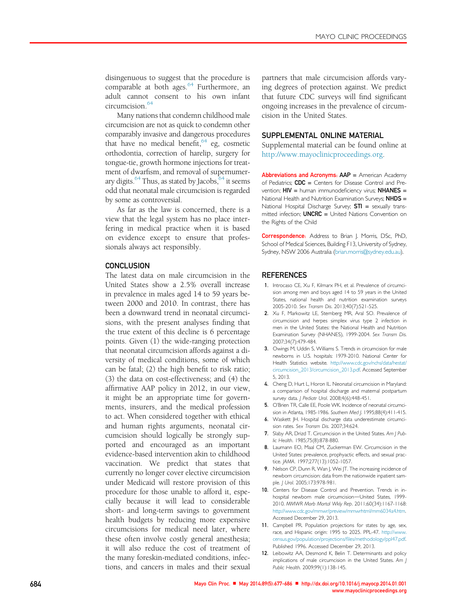disingenuous to suggest that the procedure is comparable at both ages. $64$  Furthermore, an adult cannot consent to his own infant circumcision.<sup>64</sup>

Many nations that condemn childhood male circumcision are not as quick to condemn other comparably invasive and dangerous procedures that have no medical benefit,  $64$  eg, cosmetic orthodontia, correction of harelip, surgery for tongue-tie, growth hormone injections for treatment of dwarfism, and removal of supernumerary digits. $64$  Thus, as stated by Jacobs,  $64$  it seems odd that neonatal male circumcision is regarded by some as controversial.

As far as the law is concerned, there is a view that the legal system has no place interfering in medical practice when it is based on evidence except to ensure that professionals always act responsibly.

# **CONCLUSION**

The latest data on male circumcision in the United States show a 2.5% overall increase in prevalence in males aged 14 to 59 years between 2000 and 2010. In contrast, there has been a downward trend in neonatal circumcisions, with the present analyses finding that the true extent of this decline is 6 percentage points. Given (1) the wide-ranging protection that neonatal circumcision affords against a diversity of medical conditions, some of which can be fatal; (2) the high benefit to risk ratio; (3) the data on cost-effectiveness; and (4) the affirmative AAP policy in 2012, in our view, it might be an appropriate time for governments, insurers, and the medical profession to act. When considered together with ethical and human rights arguments, neonatal circumcision should logically be strongly supported and encouraged as an important evidence-based intervention akin to childhood vaccination. We predict that states that currently no longer cover elective circumcision under Medicaid will restore provision of this procedure for those unable to afford it, especially because it will lead to considerable short- and long-term savings to government health budgets by reducing more expensive circumcisions for medical need later, where these often involve costly general anesthesia; it will also reduce the cost of treatment of the many foreskin-mediated conditions, infections, and cancers in males and their sexual partners that male circumcision affords varying degrees of protection against. We predict that future CDC surveys will find significant ongoing increases in the prevalence of circumcision in the United States.

## SUPPLEMENTAL ONLINE MATERIAL

Supplemental material can be found online at http://www.mayoclinicproceedings.org.

Abbreviations and Acronyms: AAP = American Academy of Pediatrics:  $CDC =$  Centers for Disease Control and Prevention;  $HIV =$  human immunodeficiency virus;  $NHANES =$ National Health and Nutrition Examination Surveys; NHDS = National Hospital Discharge Survey;  $STI =$  sexually transmitted infection; **UNCRC** = United Nations Convention on the Rights of the Child

Correspondence: Address to Brian J. Morris, DSc, PhD, School of Medical Sciences, Building F13, University of Sydney, Sydney, NSW 2006 Australia (brian.morris@sydney.edu.au).

#### **REFERENCES**

- 1. Introcaso CE, Xu F, Kilmarx PH, et al. Prevalence of circumcision among men and boys aged 14 to 59 years in the United States, national health and nutrition examination surveys 2005-2010. Sex Transm Dis. 2013;40(7):521-525.
- 2. Xu F, Markowitz LE, Sternberg MR, Aral SO. Prevalence of circumcision and herpes simplex virus type 2 infection in men in the United States: the National Health and Nutrition Examination Survey (NHANES), 1999-2004. Sex Transm Dis. 2007;34(7):479-484.
- 3. Owings M, Uddin S, Williams S. Trends in circumcision for male newborns in U.S. hospitals: 1979-2010. National Center for Health Statistics website. http://www.cdc.gov/nchs/data/hestat/ circumcision\_2013/circumcision\_2013.pdf. Accessed September 5, 2013.
- 4. Cheng D, Hurt L, Horon IL. Neonatal circumcision in Maryland: a comparison of hospital discharge and maternal postpartum survey data. | Pediatr Urol. 2008;4(6):448-451.
- 5. O'Brien TR, Calle EE, Poole WK. Incidence of neonatal circumcision in Atlanta, 1985-1986. Southern Med J. 1995;88(4):411-415.
- 6. Waskett JH. Hospital discharge data underestimate circumcision rates. Sex Transm Dis. 2007;34:624.
- 7. Slaby AR, Drizd T. Circumcision in the United States. Am J Public Health. 1985;75(8):878-880.
- 8. Laumann EO, Maal CM, Zuckerman EW. Circumcision in the United States: prevalence, prophyactic effects, and sexual practice. JAMA. 1997;277(13):1052-1057.
- 9. Nelson CP, Dunn R, Wan J, Wei JT. The increasing incidence of newborn circumcision: data from the nationwide inpatient sample. J Urol. 2005;173:978-981.
- 10. Centers for Disease Control and Prevention. Trends in inhospital newborn male circumcision-United States, 1999-2010. MMWR Morb Mortal Wkly Rep. 2011;60(34):1167-1168: http://www.cdc.gov/mmwr/preview/mmwrhtml/mm6034a4.htm. Accessed December 29, 2013.
- 11. Campbell PR. Population projections for states by age, sex, race, and Hispanic origin: 1995 to 2025. PPL-47. http://www. census.gov/population/projections/files/methodology/ppl47.pdf. Published 1996. Accessed December 29, 2013.
- 12. Leibowitz AA, Desmond K, Belin T. Determinants and policy implications of male circumcision in the United States. Am J Public Health. 2009;99(1):138-145.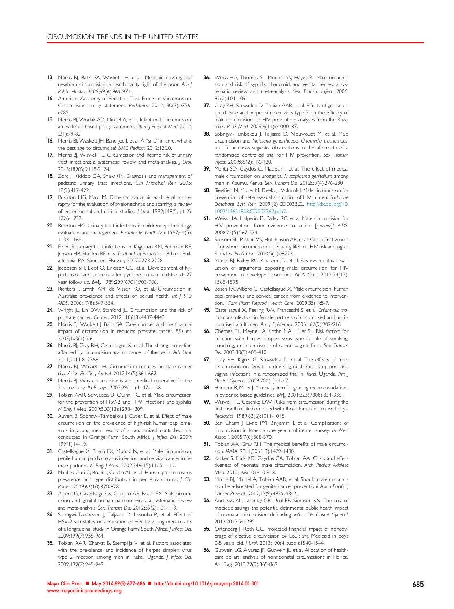- 13. Morris BJ, Bailis SA, Waskett JH, et al. Medicaid coverage of newborn circumcision: a health parity right of the poor. Am J Public Health. 2009;99(6):969-971.
- 14. American Academy of Pediatrics Task Force on Circumcision. Circumcision policy statement. Pediatrics. 2012;130(3):e756 e785.
- 15. Morris BJ, Wodak AD, Mindel A, et al. Infant male circumcision: an evidence-based policy statement. Open J Prevent Med. 2012; 2(1):79-82.
- 16. Morris BJ, Waskett JH, Banerjee J, et al. A "snip" in time: what is the best age to circumcise? BMC Pediatr. 2012;12:20.
- 17. Morris BJ, Wiswell TE. Circumcision and lifetime risk of urinary tract infections: a systematic review and meta-analysis. J Urol. 2013;189(6):2118-2124.
- 18. Zorc JJ, Kiddoo DA, Shaw KN. Diagnosis and management of pediatric urinary tract infections. Clin Microbiol Rev. 2005; 18(2):417-422.
- 19. Rushton HG, Majd M. Dimercaptosuccinic acid renal scintigraphy for the evaluation of pyelonephritis and scarring: a review of experimental and clinical studies. J Urol. 1992;148(5, pt 2): 1726-1732.
- 20. Rushton HG. Urinary tract infections in children: epidemiology, evaluation, and management. Pediatr Clin North Am. 1997;44(5): 1133-1169.
- 21. Elder JS. Urinary tract infections. In: Kligeman RM, Behrman RE, Jenson HB, Stanton BF, eds. Textbook of Pediatrics. 18th ed. Philadelphia, PA: Saunders Elsevier; 2007:2223-2228.
- 22. Jacobson SH, Eklof O, Eriksson CG, et al. Development of hypertension and uraemia after pyelonephritis in childhood: 27 year follow up. BMJ. 1989;299(6701):703-706.
- 23. Richters J, Smith AM, de Visser RO, et al. Circumcision in Australia: prevalence and effects on sexual health. Int J STD AIDS. 2006;17(8):547-554.
- 24. Wright JL, Lin DW, Stanford JL. Circumcision and the risk of prostate cancer. Cancer. 2012;118(18):4437-4443.
- 25. Morris BJ, Waskett J, Bailis SA. Case number and the financial impact of circumcision in reducing prostate cancer. BJU Int. 2007;100(1):5-6.
- 26. Morris BJ, Gray RH, Castellsague X, et al. The strong protection afforded by circumcision against cancer of the penis. Adv Urol. 2011;2011:812368.
- 27. Morris BJ, Waskett JH. Circumcision reduces prostate cancer risk. Asian Pacific J Androl. 2012;14(5):661-662.
- 28. Morris BJ. Why circumcision is a biomedical imperative for the 21st century. BioEssays. 2007;29(11):1147-1158.
- 29. Tobian AAR, Serwadda D, Quinn TC, et al. Male circumcision for the prevention of HSV-2 and HPV infections and syphilis. N Engl J Med. 2009;360(13):1298-1309.
- 30. Auvert B, Sobngwi-Tambekou J, Cutler E, et al. Effect of male circumcision on the prevalence of high-risk human papillomavirus in young men: results of a randomized controlled trial conducted in Orange Farm, South Africa. J Infect Dis. 2009; 199(1):14-19.
- 31. Castellsagué X, Bosch FX, Munoz N, et al. Male circumcision, penile human papillomavirus infection, and cervical cancer in female partners. N Engl J Med. 2002;346(15):1105-1112.
- 32. Miralles-Guri C, Bruni L, Cubilla AL, et al. Human papillomavirus prevalence and type distribution in penile carcinoma. J Clin Pathol. 2009;62(10):870-878.
- 33. Albero G, Castellsagué X, Giuliano AR, Bosch FX. Male circumcision and genital human papillomavirus: a systematic review and meta-analysis. Sex Transm Dis. 2012;39(2):104-113.
- 34. Sobngwi-Tambekou J, Taljaard D, Lissouba P, et al. Effect of HSV-2 serostatus on acquisition of HIV by young men: results of a longitudinal study in Orange Farm, South Africa. J Infect Dis. 2009;199(7):958-964.
- 35. Tobian AAR, Charvat B, Ssempijja V, et al. Factors associated with the prevalence and incidence of herpes simplex virus type 2 infection among men in Rakai, Uganda. J Infect Dis. 2009;199(7):945-949.
- 36. Weiss HA, Thomas SL, Munabi SK, Hayes RJ. Male circumcision and risk of syphilis, chancroid, and genital herpes: a systematic review and meta-analysis. Sex Transm Infect. 2006; 82(2):101-109.
- 37. Gray RH, Serwadda D, Tobian AAR, et al. Effects of genital ulcer disease and herpes simplex virus type 2 on the efficacy of male circumcision for HIV prevention: analyses from the Rakai trials. PLoS Med. 2009;6(11):e1000187.
- 38. Sobngwi-Tambekou J, Taljaard D, Nieuwoudt M, et al. Male circumcision and Neisseria gonorrhoeae, Chlamydia trachomatis, and Trichomonas vaginalis: observations in the aftermath of a randomised controlled trial for HIV prevention. Sex Transm Infect. 2009;85(2):116-120.
- 39. Mehta SD, Gaydos C, Maclean I, et al. The effect of medical male circumcision on urogenital Mycoplasma genitalium among men in Kisumu, Kenya. Sex Transm Dis. 2012;39(4):276-280.
- 40. Siegfried N, Muller M, Deeks JJ, Volmink J. Male circumcision for prevention of heterosexual acquisition of HIV in men. Cochrane Database Syst Rev. 2009;(2):CD003362. http://dx.doi.org/10. 1002/14651858.CD003362.pub2.
- 41. Weiss HA, Halperin D, Bailey RC, et al. Male circumcision for HIV prevention: from evidence to action [review]? AIDS. 2008;22(5):567-574.
- 42. Sansom SL, Prabhu VS, Hutchinson AB, et al. Cost-effectiveness of newborn circumcision in reducing lifetime HIV risk among U. S. males. PLoS One. 2010;5(1):e8723.
- 43. Morris BJ, Bailey RC, Klausner JD, et al. Review: a critical evaluation of arguments opposing male circumcision for HIV prevention in developed countries. AIDS Care. 2012;24(12): 1565-1575.
- 44. Bosch FX, Albero G, Castellsagué X. Male circumcision, human papillomavirus and cervical cancer: from evidence to intervention. J Fam Plann Reprod Health Care. 2009;35(1):5-7.
- 45. Castellsagué X, Peeling RW, Franceschi S, et al. Chlamydia trachomatis infection in female partners of circumcised and uncircumcised adult men. Am J Epidemiol. 2005;162(9):907-916.
- 46. Cherpes TL, Meyne LA, Krohn MA, Hiller SL. Risk factors for infection with herpes simplex virus type 2: role of smoking, douching, uncircumcised males, and vaginal flora. Sex Transm Dis. 2003;30(5):405-410.
- 47. Gray RH, Kigozi G, Serwadda D, et al. The effects of male circumcision on female partners' genital tract symptoms and vaginal infections in a randomized trial in Rakai, Uganda. Am J Obstet Gynecol. 2009;200(1):e1-e7.
- 48. Harbour R, Miller J. A new system for grading recommendations in evidence based guidelines. BMJ. 2001;323(7308):334-336.
- 49. Wiswell TE, Geschke DW. Risks from circumcision during the first month of life compared with those for uncircumcised boys. Pediatrics. 1989;83(6):1011-1015.
- 50. Ben Chaim J, Livne PM, Binyamini J, et al. Complications of circumcision in Israel: a one year multicenter survey. Isr Med Assoc J. 2005;7(6):368-370.
- 51. Tobian AA, Gray RH. The medical benefits of male circumcision. JAMA. 2011;306(13):1479-1480.
- 52. Kacker S, Frick KD, Gaydos CA, Tobian AA. Costs and effectiveness of neonatal male circumcision. Arch Pediatr Adolesc Med. 2012;166(10):910-918.
- 53. Morris BJ, Mindel A, Tobian AAR, et al. Should male circumcision be advocated for genital cancer prevention? Asian Pacific J Cancer Prevent. 2012;13(9):4839-4842.
- 54. Andrews AL, Lazenby GB, Unal ER, Simpson KN. The cost of medicaid savings: the potential detrimental public health impact of neonatal circumcision defunding. Infect Dis Obstet Gynecol. 2012;2012:540295.
- 55. Ortenberg J, Roth CC. Projected financial impact of noncoverage of elective circumcision by Louisiana Medicaid in boys 0-5 years old. J Urol. 2013;190(4 suppl):1540-1544.
- 56. Gutwein LG, Alvarez JF, Gutwein JL, et al. Allocation of healthcare dollars: analysis of nonneonatal circumcisions in Florida. Am Surg. 2013;79(9):865-869.